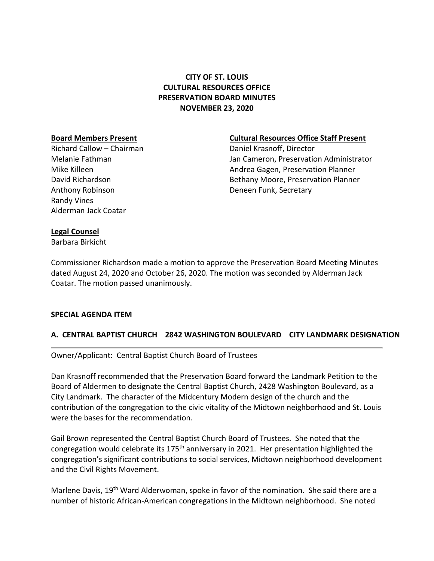# **CITY OF ST. LOUIS CULTURAL RESOURCES OFFICE PRESERVATION BOARD MINUTES NOVEMBER 23, 2020**

Richard Callow – Chairman **Daniel Krasnoff, Director** Anthony Robinson **Deneen Funk, Secretary** Randy Vines Alderman Jack Coatar

### **Board Members Present Cultural Resources Office Staff Present**

Melanie Fathman Jan Cameron, Preservation Administrator Mike Killeen **Andrea Gagen, Preservation Planner** Andrea Gagen, Preservation Planner David Richardson Bethany Moore, Preservation Planner

### **Legal Counsel**

Barbara Birkicht

Commissioner Richardson made a motion to approve the Preservation Board Meeting Minutes dated August 24, 2020 and October 26, 2020. The motion was seconded by Alderman Jack Coatar. The motion passed unanimously.

### **SPECIAL AGENDA ITEM**

## **A. CENTRAL BAPTIST CHURCH 2842 WASHINGTON BOULEVARD CITY LANDMARK DESIGNATION**

Owner/Applicant: Central Baptist Church Board of Trustees

Dan Krasnoff recommended that the Preservation Board forward the Landmark Petition to the Board of Aldermen to designate the Central Baptist Church, 2428 Washington Boulevard, as a City Landmark. The character of the Midcentury Modern design of the church and the contribution of the congregation to the civic vitality of the Midtown neighborhood and St. Louis were the bases for the recommendation.

Gail Brown represented the Central Baptist Church Board of Trustees. She noted that the congregation would celebrate its 175<sup>th</sup> anniversary in 2021. Her presentation highlighted the congregation's significant contributions to social services, Midtown neighborhood development and the Civil Rights Movement.

Marlene Davis, 19<sup>th</sup> Ward Alderwoman, spoke in favor of the nomination. She said there are a number of historic African-American congregations in the Midtown neighborhood. She noted